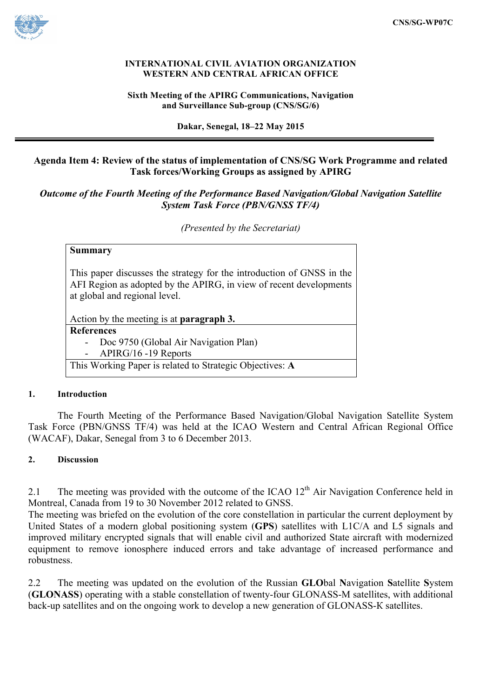

#### **INTERNATIONAL CIVIL AVIATION ORGANIZATION WESTERN AND CENTRAL AFRICAN OFFICE**

#### **Sixth Meeting of the APIRG Communications, Navigation and Surveillance Sub-group (CNS/SG/6)**

**Dakar, Senegal, 18–22 May 2015**

## **Agenda Item 4: Review of the status of implementation of CNS/SG Work Programme and related Task forces/Working Groups as assigned by APIRG**

# *Outcome of the Fourth Meeting of the Performance Based Navigation/Global Navigation Satellite System Task Force (PBN/GNSS TF/4)*

*(Presented by the Secretariat)*

| <b>Summary</b>                                                                                                                                                               |
|------------------------------------------------------------------------------------------------------------------------------------------------------------------------------|
| This paper discusses the strategy for the introduction of GNSS in the<br>AFI Region as adopted by the APIRG, in view of recent developments<br>at global and regional level. |
| Action by the meeting is at <b>paragraph 3.</b>                                                                                                                              |
| <b>References</b>                                                                                                                                                            |
| Doc 9750 (Global Air Navigation Plan)                                                                                                                                        |
| APIRG/16 -19 Reports                                                                                                                                                         |
| This Working Paper is related to Strategic Objectives: A                                                                                                                     |

#### **1. Introduction**

The Fourth Meeting of the Performance Based Navigation/Global Navigation Satellite System Task Force (PBN/GNSS TF/4) was held at the ICAO Western and Central African Regional Office (WACAF), Dakar, Senegal from 3 to 6 December 2013.

## **2. Discussion**

2.1 The meeting was provided with the outcome of the ICAO  $12<sup>th</sup>$  Air Navigation Conference held in Montreal, Canada from 19 to 30 November 2012 related to GNSS.

The meeting was briefed on the evolution of the core constellation in particular the current deployment by United States of a modern global positioning system (**GPS**) satellites with L1C/A and L5 signals and improved military encrypted signals that will enable civil and authorized State aircraft with modernized equipment to remove ionosphere induced errors and take advantage of increased performance and robustness.

2.2 The meeting was updated on the evolution of the Russian **GLO**bal **N**avigation **S**atellite **S**ystem (**GLONASS**) operating with a stable constellation of twenty-four GLONASS-М satellites, with additional back-up satellites and on the ongoing work to develop a new generation of GLONASS-К satellites.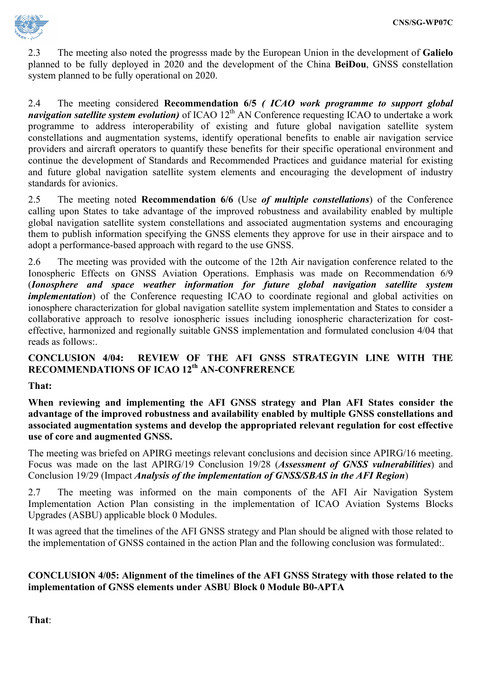

2.3 The meeting also noted the progresss made by the European Union in the development of **Galielo** planned to be fully deployed in 2020 and the development of the China **BeiDou**, GNSS constellation system planned to be fully operational on 2020.

2.4 The meeting considered **Recommendation 6/5** *( ICAO work programme to support global navigation satellite system evolution*) of ICAO 12<sup>th</sup> AN Conference requesting ICAO to undertake a work programme to address interoperability of existing and future global navigation satellite system constellations and augmentation systems, identify operational benefits to enable air navigation service providers and aircraft operators to quantify these benefits for their specific operational environment and continue the development of Standards and Recommended Practices and guidance material for existing and future global navigation satellite system elements and encouraging the development of industry standards for avionics.

2.5 The meeting noted **Recommendation 6/6** (Use *of multiple constellations*) of the Conference calling upon States to take advantage of the improved robustness and availability enabled by multiple global navigation satellite system constellations and associated augmentation systems and encouraging them to publish information specifying the GNSS elements they approve for use in their airspace and to adopt a performance-based approach with regard to the use GNSS.

2.6 The meeting was provided with the outcome of the 12th Air navigation conference related to the Ionospheric Effects on GNSS Aviation Operations. Emphasis was made on Recommendation 6/9 (*Ionosphere and space weather information for future global navigation satellite system implementation*) of the Conference requesting ICAO to coordinate regional and global activities on ionosphere characterization for global navigation satellite system implementation and States to consider a collaborative approach to resolve ionospheric issues including ionospheric characterization for costeffective, harmonized and regionally suitable GNSS implementation and formulated conclusion 4/04 that reads as follows:.

## **CONCLUSION 4/04: REVIEW OF THE AFI GNSS STRATEGYIN LINE WITH THE RECOMMENDATIONS OF ICAO 12th AN-CONFRERENCE**

## **That:**

**When reviewing and implementing the AFI GNSS strategy and Plan AFI States consider the advantage of the improved robustness and availability enabled by multiple GNSS constellations and associated augmentation systems and develop the appropriated relevant regulation for cost effective use of core and augmented GNSS.**

The meeting was briefed on APIRG meetings relevant conclusions and decision since APIRG/16 meeting. Focus was made on the last APIRG/19 Conclusion 19/28 (*Assessment of GNSS vulnerabilities*) and Conclusion 19/29 (Impact *Analysis of the implementation of GNSS/SBAS in the AFI Region*)

2.7 The meeting was informed on the main components of the AFI Air Navigation System Implementation Action Plan consisting in the implementation of ICAO Aviation Systems Blocks Upgrades (ASBU) applicable block 0 Modules.

It was agreed that the timelines of the AFI GNSS strategy and Plan should be aligned with those related to the implementation of GNSS contained in the action Plan and the following conclusion was formulated:.

#### **CONCLUSION 4/05: Alignment of the timelines of the AFI GNSS Strategy with those related to the implementation of GNSS elements under ASBU Block 0 Module B0-APTA**

**That**: